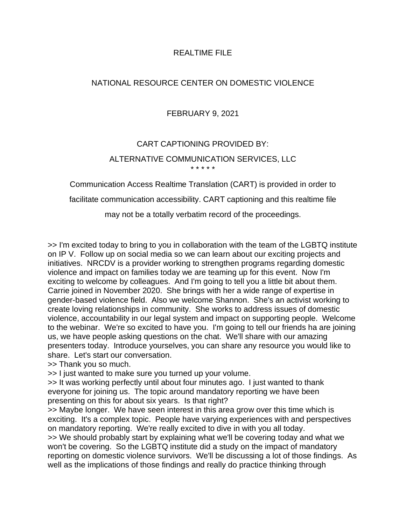#### REALTIME FILE

## NATIONAL RESOURCE CENTER ON DOMESTIC VIOLENCE

## FEBRUARY 9, 2021

# CART CAPTIONING PROVIDED BY: ALTERNATIVE COMMUNICATION SERVICES, LLC \* \* \* \* \*

Communication Access Realtime Translation (CART) is provided in order to

facilitate communication accessibility. CART captioning and this realtime file

may not be a totally verbatim record of the proceedings.

>> I'm excited today to bring to you in collaboration with the team of the LGBTQ institute on IP V. Follow up on social media so we can learn about our exciting projects and initiatives. NRCDV is a provider working to strengthen programs regarding domestic violence and impact on families today we are teaming up for this event. Now I'm exciting to welcome by colleagues. And I'm going to tell you a little bit about them. Carrie joined in November 2020. She brings with her a wide range of expertise in gender-based violence field. Also we welcome Shannon. She's an activist working to create loving relationships in community. She works to address issues of domestic violence, accountability in our legal system and impact on supporting people. Welcome to the webinar. We're so excited to have you. I'm going to tell our friends ha are joining us, we have people asking questions on the chat. We'll share with our amazing presenters today. Introduce yourselves, you can share any resource you would like to share. Let's start our conversation.

>> Thank you so much.

>> I just wanted to make sure you turned up your volume.

>> It was working perfectly until about four minutes ago. I just wanted to thank everyone for joining us. The topic around mandatory reporting we have been presenting on this for about six years. Is that right?

>> Maybe longer. We have seen interest in this area grow over this time which is exciting. It's a complex topic. People have varying experiences with and perspectives on mandatory reporting. We're really excited to dive in with you all today.

>> We should probably start by explaining what we'll be covering today and what we won't be covering. So the LGBTQ institute did a study on the impact of mandatory reporting on domestic violence survivors. We'll be discussing a lot of those findings. As well as the implications of those findings and really do practice thinking through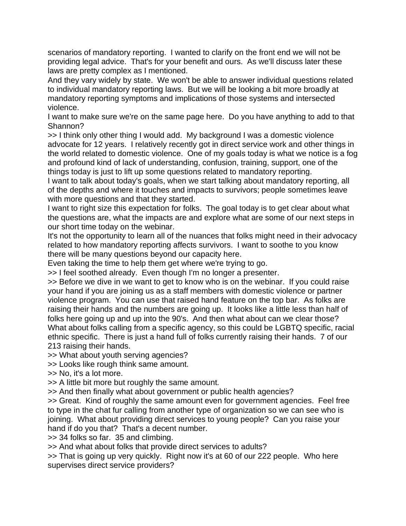scenarios of mandatory reporting. I wanted to clarify on the front end we will not be providing legal advice. That's for your benefit and ours. As we'll discuss later these laws are pretty complex as I mentioned.

And they vary widely by state. We won't be able to answer individual questions related to individual mandatory reporting laws. But we will be looking a bit more broadly at mandatory reporting symptoms and implications of those systems and intersected violence.

I want to make sure we're on the same page here. Do you have anything to add to that Shannon?

>> I think only other thing I would add. My background I was a domestic violence advocate for 12 years. I relatively recently got in direct service work and other things in the world related to domestic violence. One of my goals today is what we notice is a fog and profound kind of lack of understanding, confusion, training, support, one of the things today is just to lift up some questions related to mandatory reporting.

I want to talk about today's goals, when we start talking about mandatory reporting, all of the depths and where it touches and impacts to survivors; people sometimes leave with more questions and that they started.

I want to right size this expectation for folks. The goal today is to get clear about what the questions are, what the impacts are and explore what are some of our next steps in our short time today on the webinar.

It's not the opportunity to learn all of the nuances that folks might need in their advocacy related to how mandatory reporting affects survivors. I want to soothe to you know there will be many questions beyond our capacity here.

Even taking the time to help them get where we're trying to go.

>> I feel soothed already. Even though I'm no longer a presenter.

>> Before we dive in we want to get to know who is on the webinar. If you could raise your hand if you are joining us as a staff members with domestic violence or partner violence program. You can use that raised hand feature on the top bar. As folks are raising their hands and the numbers are going up. It looks like a little less than half of folks here going up and up into the 90's. And then what about can we clear those? What about folks calling from a specific agency, so this could be LGBTQ specific, racial ethnic specific. There is just a hand full of folks currently raising their hands. 7 of our 213 raising their hands.

>> What about youth serving agencies?

>> Looks like rough think same amount.

>> No, it's a lot more.

>> A little bit more but roughly the same amount.

>> And then finally what about government or public health agencies?

>> Great. Kind of roughly the same amount even for government agencies. Feel free to type in the chat fur calling from another type of organization so we can see who is joining. What about providing direct services to young people? Can you raise your hand if do you that? That's a decent number.

>> 34 folks so far. 35 and climbing.

>> And what about folks that provide direct services to adults?

>> That is going up very quickly. Right now it's at 60 of our 222 people. Who here supervises direct service providers?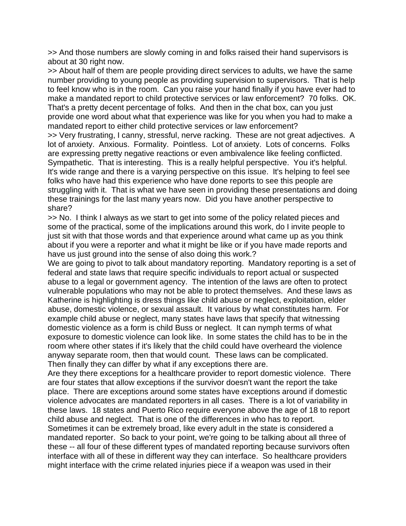>> And those numbers are slowly coming in and folks raised their hand supervisors is about at 30 right now.

>> About half of them are people providing direct services to adults, we have the same number providing to young people as providing supervision to supervisors. That is help to feel know who is in the room. Can you raise your hand finally if you have ever had to make a mandated report to child protective services or law enforcement? 70 folks. OK. That's a pretty decent percentage of folks. And then in the chat box, can you just provide one word about what that experience was like for you when you had to make a mandated report to either child protective services or law enforcement?

>> Very frustrating, I canny, stressful, nerve racking. These are not great adjectives. A lot of anxiety. Anxious. Formality. Pointless. Lot of anxiety. Lots of concerns. Folks are expressing pretty negative reactions or even ambivalence like feeling conflicted. Sympathetic. That is interesting. This is a really helpful perspective. You it's helpful. It's wide range and there is a varying perspective on this issue. It's helping to feel see folks who have had this experience who have done reports to see this people are struggling with it. That is what we have seen in providing these presentations and doing these trainings for the last many years now. Did you have another perspective to share?

>> No. I think I always as we start to get into some of the policy related pieces and some of the practical, some of the implications around this work, do I invite people to just sit with that those words and that experience around what came up as you think about if you were a reporter and what it might be like or if you have made reports and have us just ground into the sense of also doing this work.?

We are going to pivot to talk about mandatory reporting. Mandatory reporting is a set of federal and state laws that require specific individuals to report actual or suspected abuse to a legal or government agency. The intention of the laws are often to protect vulnerable populations who may not be able to protect themselves. And these laws as Katherine is highlighting is dress things like child abuse or neglect, exploitation, elder abuse, domestic violence, or sexual assault. It various by what constitutes harm. For example child abuse or neglect, many states have laws that specify that witnessing domestic violence as a form is child Buss or neglect. It can nymph terms of what exposure to domestic violence can look like. In some states the child has to be in the room where other states if it's likely that the child could have overheard the violence anyway separate room, then that would count. These laws can be complicated. Then finally they can differ by what if any exceptions there are.

Are they there exceptions for a healthcare provider to report domestic violence. There are four states that allow exceptions if the survivor doesn't want the report the take place. There are exceptions around some states have exceptions around if domestic violence advocates are mandated reporters in all cases. There is a lot of variability in these laws. 18 states and Puerto Rico require everyone above the age of 18 to report child abuse and neglect. That is one of the differences in who has to report. Sometimes it can be extremely broad, like every adult in the state is considered a mandated reporter. So back to your point, we're going to be talking about all three of these -- all four of these different types of mandated reporting because survivors often interface with all of these in different way they can interface. So healthcare providers might interface with the crime related injuries piece if a weapon was used in their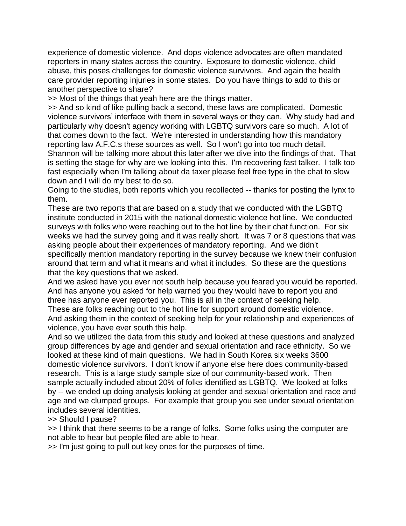experience of domestic violence. And dops violence advocates are often mandated reporters in many states across the country. Exposure to domestic violence, child abuse, this poses challenges for domestic violence survivors. And again the health care provider reporting injuries in some states. Do you have things to add to this or another perspective to share?

>> Most of the things that yeah here are the things matter.

>> And so kind of like pulling back a second, these laws are complicated. Domestic violence survivors' interface with them in several ways or they can. Why study had and particularly why doesn't agency working with LGBTQ survivors care so much. A lot of that comes down to the fact. We're interested in understanding how this mandatory reporting law A.F.C.s these sources as well. So I won't go into too much detail.

Shannon will be talking more about this later after we dive into the findings of that. That is setting the stage for why are we looking into this. I'm recovering fast talker. I talk too fast especially when I'm talking about da taxer please feel free type in the chat to slow down and I will do my best to do so.

Going to the studies, both reports which you recollected -- thanks for posting the lynx to them.

These are two reports that are based on a study that we conducted with the LGBTQ institute conducted in 2015 with the national domestic violence hot line. We conducted surveys with folks who were reaching out to the hot line by their chat function. For six weeks we had the survey going and it was really short. It was 7 or 8 questions that was asking people about their experiences of mandatory reporting. And we didn't specifically mention mandatory reporting in the survey because we knew their confusion around that term and what it means and what it includes. So these are the questions that the key questions that we asked.

And we asked have you ever not south help because you feared you would be reported. And has anyone you asked for help warned you they would have to report you and three has anyone ever reported you. This is all in the context of seeking help.

These are folks reaching out to the hot line for support around domestic violence. And asking them in the context of seeking help for your relationship and experiences of violence, you have ever south this help.

And so we utilized the data from this study and looked at these questions and analyzed group differences by age and gender and sexual orientation and race ethnicity. So we looked at these kind of main questions. We had in South Korea six weeks 3600 domestic violence survivors. I don't know if anyone else here does community-based research. This is a large study sample size of our community-based work. Then sample actually included about 20% of folks identified as LGBTQ. We looked at folks by -- we ended up doing analysis looking at gender and sexual orientation and race and age and we clumped groups. For example that group you see under sexual orientation includes several identities.

#### >> Should I pause?

>> I think that there seems to be a range of folks. Some folks using the computer are not able to hear but people filed are able to hear.

>> I'm just going to pull out key ones for the purposes of time.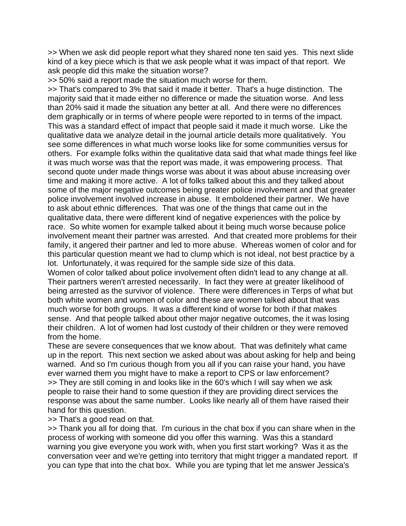>> When we ask did people report what they shared none ten said yes. This next slide kind of a key piece which is that we ask people what it was impact of that report. We ask people did this make the situation worse?

>> 50% said a report made the situation much worse for them.

>> That's compared to 3% that said it made it better. That's a huge distinction. The majority said that it made either no difference or made the situation worse. And less than 20% said it made the situation any better at all. And there were no differences dem graphically or in terms of where people were reported to in terms of the impact. This was a standard effect of impact that people said it made it much worse. Like the qualitative data we analyze detail in the journal article details more qualitatively. You see some differences in what much worse looks like for some communities versus for others. For example folks within the qualitative data said that what made things feel like it was much worse was that the report was made, it was empowering process. That second quote under made things worse was about it was about abuse increasing over time and making it more active. A lot of folks talked about this and they talked about some of the major negative outcomes being greater police involvement and that greater police involvement involved increase in abuse. It emboldened their partner. We have to ask about ethnic differences. That was one of the things that came out in the qualitative data, there were different kind of negative experiences with the police by race. So white women for example talked about it being much worse because police involvement meant their partner was arrested. And that created more problems for their family, it angered their partner and led to more abuse. Whereas women of color and for this particular question meant we had to clump which is not ideal, not best practice by a lot. Unfortunately, it was required for the sample side size of this data.

Women of color talked about police involvement often didn't lead to any change at all. Their partners weren't arrested necessarily. In fact they were at greater likelihood of being arrested as the survivor of violence. There were differences in Terps of what but both white women and women of color and these are women talked about that was much worse for both groups. It was a different kind of worse for both if that makes sense. And that people talked about other major negative outcomes, the it was losing their children. A lot of women had lost custody of their children or they were removed from the home.

These are severe consequences that we know about. That was definitely what came up in the report. This next section we asked about was about asking for help and being warned. And so I'm curious though from you all if you can raise your hand, you have ever warned them you might have to make a report to CPS or law enforcement? >> They are still coming in and looks like in the 60's which I will say when we ask people to raise their hand to some question if they are providing direct services the response was about the same number. Looks like nearly all of them have raised their hand for this question.

>> That's a good read on that.

>> Thank you all for doing that. I'm curious in the chat box if you can share when in the process of working with someone did you offer this warning. Was this a standard warning you give everyone you work with, when you first start working? Was it as the conversation veer and we're getting into territory that might trigger a mandated report. If you can type that into the chat box. While you are typing that let me answer Jessica's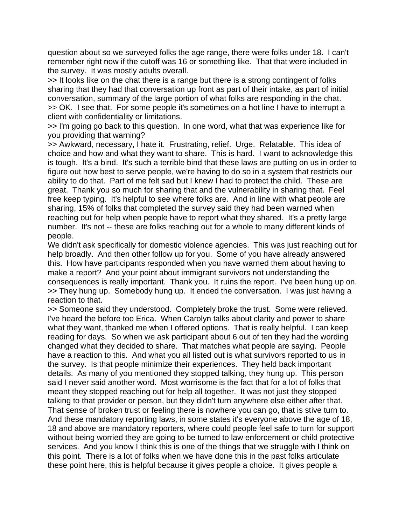question about so we surveyed folks the age range, there were folks under 18. I can't remember right now if the cutoff was 16 or something like. That that were included in the survey. It was mostly adults overall.

>> It looks like on the chat there is a range but there is a strong contingent of folks sharing that they had that conversation up front as part of their intake, as part of initial conversation, summary of the large portion of what folks are responding in the chat. >> OK. I see that. For some people it's sometimes on a hot line I have to interrupt a client with confidentiality or limitations.

>> I'm going go back to this question. In one word, what that was experience like for you providing that warning?

>> Awkward, necessary, I hate it. Frustrating, relief. Urge. Relatable. This idea of choice and how and what they want to share. This is hard. I want to acknowledge this is tough. It's a bind. It's such a terrible bind that these laws are putting on us in order to figure out how best to serve people, we're having to do so in a system that restricts our ability to do that. Part of me felt sad but I knew I had to protect the child. These are great. Thank you so much for sharing that and the vulnerability in sharing that. Feel free keep typing. It's helpful to see where folks are. And in line with what people are sharing, 15% of folks that completed the survey said they had been warned when reaching out for help when people have to report what they shared. It's a pretty large number. It's not -- these are folks reaching out for a whole to many different kinds of people.

We didn't ask specifically for domestic violence agencies. This was just reaching out for help broadly. And then other follow up for you. Some of you have already answered this. How have participants responded when you have warned them about having to make a report? And your point about immigrant survivors not understanding the consequences is really important. Thank you. It ruins the report. I've been hung up on. >> They hung up. Somebody hung up. It ended the conversation. I was just having a reaction to that.

>> Someone said they understood. Completely broke the trust. Some were relieved. I've heard the before too Erica. When Carolyn talks about clarity and power to share what they want, thanked me when I offered options. That is really helpful. I can keep reading for days. So when we ask participant about 6 out of ten they had the wording changed what they decided to share. That matches what people are saying. People have a reaction to this. And what you all listed out is what survivors reported to us in the survey. Is that people minimize their experiences. They held back important details. As many of you mentioned they stopped talking, they hung up. This person said I never said another word. Most worrisome is the fact that for a lot of folks that meant they stopped reaching out for help all together. It was not just they stopped talking to that provider or person, but they didn't turn anywhere else either after that. That sense of broken trust or feeling there is nowhere you can go, that is stive turn to. And these mandatory reporting laws, in some states it's everyone above the age of 18, 18 and above are mandatory reporters, where could people feel safe to turn for support without being worried they are going to be turned to law enforcement or child protective services. And you know I think this is one of the things that we struggle with I think on this point. There is a lot of folks when we have done this in the past folks articulate these point here, this is helpful because it gives people a choice. It gives people a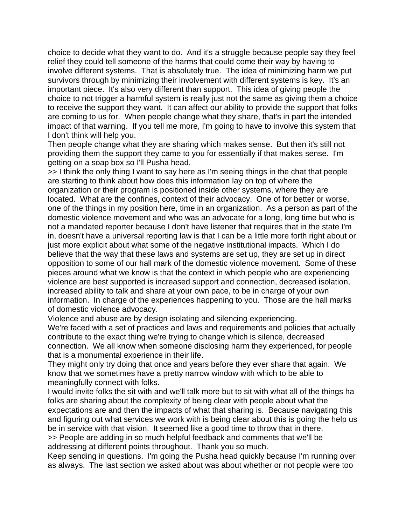choice to decide what they want to do. And it's a struggle because people say they feel relief they could tell someone of the harms that could come their way by having to involve different systems. That is absolutely true. The idea of minimizing harm we put survivors through by minimizing their involvement with different systems is key. It's an important piece. It's also very different than support. This idea of giving people the choice to not trigger a harmful system is really just not the same as giving them a choice to receive the support they want. It can affect our ability to provide the support that folks are coming to us for. When people change what they share, that's in part the intended impact of that warning. If you tell me more, I'm going to have to involve this system that I don't think will help you.

Then people change what they are sharing which makes sense. But then it's still not providing them the support they came to you for essentially if that makes sense. I'm getting on a soap box so I'll Pusha head.

>> I think the only thing I want to say here as I'm seeing things in the chat that people are starting to think about how does this information lay on top of where the organization or their program is positioned inside other systems, where they are located. What are the confines, context of their advocacy. One of for better or worse, one of the things in my position here, time in an organization. As a person as part of the domestic violence movement and who was an advocate for a long, long time but who is not a mandated reporter because I don't have listener that requires that in the state I'm in, doesn't have a universal reporting law is that I can be a little more forth right about or just more explicit about what some of the negative institutional impacts. Which I do believe that the way that these laws and systems are set up, they are set up in direct opposition to some of our hall mark of the domestic violence movement. Some of these pieces around what we know is that the context in which people who are experiencing violence are best supported is increased support and connection, decreased isolation, increased ability to talk and share at your own pace, to be in charge of your own information. In charge of the experiences happening to you. Those are the hall marks of domestic violence advocacy.

Violence and abuse are by design isolating and silencing experiencing. We're faced with a set of practices and laws and requirements and policies that actually contribute to the exact thing we're trying to change which is silence, decreased connection. We all know when someone disclosing harm they experienced, for people that is a monumental experience in their life.

They might only try doing that once and years before they ever share that again. We know that we sometimes have a pretty narrow window with which to be able to meaningfully connect with folks.

I would invite folks the sit with and we'll talk more but to sit with what all of the things ha folks are sharing about the complexity of being clear with people about what the expectations are and then the impacts of what that sharing is. Because navigating this and figuring out what services we work with is being clear about this is going the help us be in service with that vision. It seemed like a good time to throw that in there. >> People are adding in so much helpful feedback and comments that we'll be addressing at different points throughout. Thank you so much.

Keep sending in questions. I'm going the Pusha head quickly because I'm running over as always. The last section we asked about was about whether or not people were too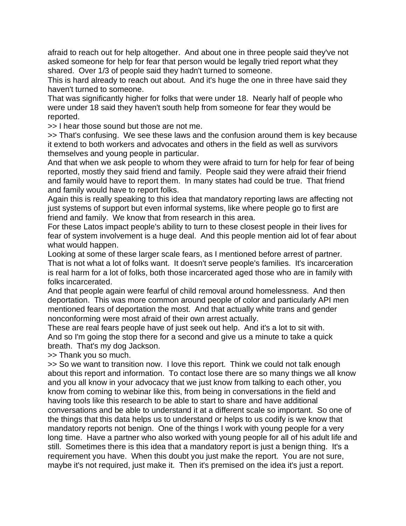afraid to reach out for help altogether. And about one in three people said they've not asked someone for help for fear that person would be legally tried report what they shared. Over 1/3 of people said they hadn't turned to someone.

This is hard already to reach out about. And it's huge the one in three have said they haven't turned to someone.

That was significantly higher for folks that were under 18. Nearly half of people who were under 18 said they haven't south help from someone for fear they would be reported.

>> I hear those sound but those are not me.

>> That's confusing. We see these laws and the confusion around them is key because it extend to both workers and advocates and others in the field as well as survivors themselves and young people in particular.

And that when we ask people to whom they were afraid to turn for help for fear of being reported, mostly they said friend and family. People said they were afraid their friend and family would have to report them. In many states had could be true. That friend and family would have to report folks.

Again this is really speaking to this idea that mandatory reporting laws are affecting not just systems of support but even informal systems, like where people go to first are friend and family. We know that from research in this area.

For these Latos impact people's ability to turn to these closest people in their lives for fear of system involvement is a huge deal. And this people mention aid lot of fear about what would happen.

Looking at some of these larger scale fears, as I mentioned before arrest of partner. That is not what a lot of folks want. It doesn't serve people's families. It's incarceration is real harm for a lot of folks, both those incarcerated aged those who are in family with folks incarcerated.

And that people again were fearful of child removal around homelessness. And then deportation. This was more common around people of color and particularly API men mentioned fears of deportation the most. And that actually white trans and gender nonconforming were most afraid of their own arrest actually.

These are real fears people have of just seek out help. And it's a lot to sit with. And so I'm going the stop there for a second and give us a minute to take a quick breath. That's my dog Jackson.

>> Thank you so much.

>> So we want to transition now. I love this report. Think we could not talk enough about this report and information. To contact lose there are so many things we all know and you all know in your advocacy that we just know from talking to each other, you know from coming to webinar like this, from being in conversations in the field and having tools like this research to be able to start to share and have additional conversations and be able to understand it at a different scale so important. So one of the things that this data helps us to understand or helps to us codify is we know that mandatory reports not benign. One of the things I work with young people for a very long time. Have a partner who also worked with young people for all of his adult life and still. Sometimes there is this idea that a mandatory report is just a benign thing. It's a requirement you have. When this doubt you just make the report. You are not sure, maybe it's not required, just make it. Then it's premised on the idea it's just a report.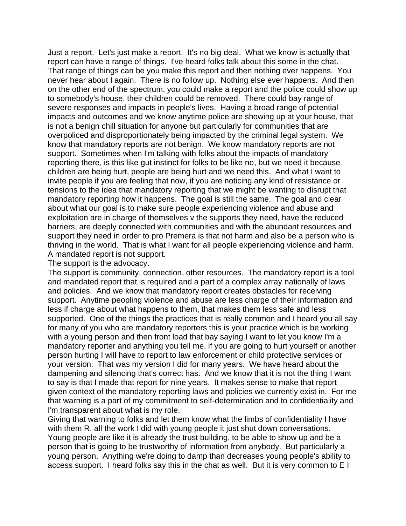Just a report. Let's just make a report. It's no big deal. What we know is actually that report can have a range of things. I've heard folks talk about this some in the chat. That range of things can be you make this report and then nothing ever happens. You never hear about I again. There is no follow up. Nothing else ever happens. And then on the other end of the spectrum, you could make a report and the police could show up to somebody's house, their children could be removed. There could bay range of severe responses and impacts in people's lives. Having a broad range of potential impacts and outcomes and we know anytime police are showing up at your house, that is not a benign chill situation for anyone but particularly for communities that are overpoliced and disproportionately being impacted by the criminal legal system. We know that mandatory reports are not benign. We know mandatory reports are not support. Sometimes when I'm talking with folks about the impacts of mandatory reporting there, is this like gut instinct for folks to be like no, but we need it because children are being hurt, people are being hurt and we need this. And what I want to invite people if you are feeling that now, if you are noticing any kind of resistance or tensions to the idea that mandatory reporting that we might be wanting to disrupt that mandatory reporting how it happens. The goal is still the same. The goal and clear about what our goal is to make sure people experiencing violence and abuse and exploitation are in charge of themselves v the supports they need, have the reduced barriers, are deeply connected with communities and with the abundant resources and support they need in order to pro Premera is that not harm and also be a person who is thriving in the world. That is what I want for all people experiencing violence and harm. A mandated report is not support.

The support is the advocacy.

The support is community, connection, other resources. The mandatory report is a tool and mandated report that is required and a part of a complex array nationally of laws and policies. And we know that mandatory report creates obstacles for receiving support. Anytime peopling violence and abuse are less charge of their information and less if charge about what happens to them, that makes them less safe and less supported. One of the things the practices that is really common and I heard you all say for many of you who are mandatory reporters this is your practice which is be working with a young person and then front load that bay saying I want to let you know I'm a mandatory reporter and anything you tell me, if you are going to hurt yourself or another person hurting I will have to report to law enforcement or child protective services or your version. That was my version I did for many years. We have heard about the dampening and silencing that's correct has. And we know that it is not the thing I want to say is that I made that report for nine years. It makes sense to make that report given context of the mandatory reporting laws and policies we currently exist in. For me that warning is a part of my commitment to self-determination and to confidentiality and I'm transparent about what is my role.

Giving that warning to folks and let them know what the limbs of confidentiality I have with them R. all the work I did with young people it just shut down conversations. Young people are like it is already the trust building, to be able to show up and be a person that is going to be trustworthy of information from anybody. But particularly a young person. Anything we're doing to damp than decreases young people's ability to access support. I heard folks say this in the chat as well. But it is very common to E I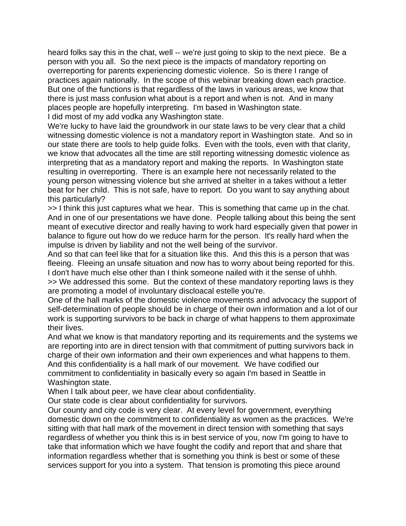heard folks say this in the chat, well -- we're just going to skip to the next piece. Be a person with you all. So the next piece is the impacts of mandatory reporting on overreporting for parents experiencing domestic violence. So is there I range of practices again nationally. In the scope of this webinar breaking down each practice. But one of the functions is that regardless of the laws in various areas, we know that there is just mass confusion what about is a report and when is not. And in many places people are hopefully interpreting. I'm based in Washington state. I did most of my add vodka any Washington state.

We're lucky to have laid the groundwork in our state laws to be very clear that a child witnessing domestic violence is not a mandatory report in Washington state. And so in our state there are tools to help guide folks. Even with the tools, even with that clarity, we know that advocates all the time are still reporting witnessing domestic violence as interpreting that as a mandatory report and making the reports. In Washington state resulting in overreporting. There is an example here not necessarily related to the young person witnessing violence but she arrived at shelter in a takes without a letter beat for her child. This is not safe, have to report. Do you want to say anything about this particularly?

>> I think this just captures what we hear. This is something that came up in the chat. And in one of our presentations we have done. People talking about this being the sent meant of executive director and really having to work hard especially given that power in balance to figure out how do we reduce harm for the person. It's really hard when the impulse is driven by liability and not the well being of the survivor.

And so that can feel like that for a situation like this. And this this is a person that was fleeing. Fleeing an unsafe situation and now has to worry about being reported for this. I don't have much else other than I think someone nailed with it the sense of uhhh. >> We addressed this some. But the context of these mandatory reporting laws is they are promoting a model of involuntary discloacal estelle you're.

One of the hall marks of the domestic violence movements and advocacy the support of self-determination of people should be in charge of their own information and a lot of our work is supporting survivors to be back in charge of what happens to them approximate their lives.

And what we know is that mandatory reporting and its requirements and the systems we are reporting into are in direct tension with that commitment of putting survivors back in charge of their own information and their own experiences and what happens to them. And this confidentiality is a hall mark of our movement. We have codified our commitment to confidentiality in basically every so again I'm based in Seattle in Washington state.

When I talk about peer, we have clear about confidentiality.

Our state code is clear about confidentiality for survivors.

Our county and city code is very clear. At every level for government, everything domestic down on the commitment to confidentiality as women as the practices. We're sitting with that hall mark of the movement in direct tension with something that says regardless of whether you think this is in best service of you, now I'm going to have to take that information which we have fought the codify and report that and share that information regardless whether that is something you think is best or some of these services support for you into a system. That tension is promoting this piece around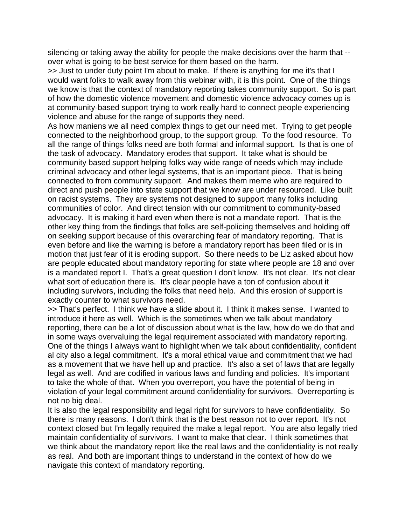silencing or taking away the ability for people the make decisions over the harm that - over what is going to be best service for them based on the harm.

>> Just to under duty point I'm about to make. If there is anything for me it's that I would want folks to walk away from this webinar with, it is this point. One of the things we know is that the context of mandatory reporting takes community support. So is part of how the domestic violence movement and domestic violence advocacy comes up is at community-based support trying to work really hard to connect people experiencing violence and abuse for the range of supports they need.

As how maniens we all need complex things to get our need met. Trying to get people connected to the neighborhood group, to the support group. To the food resource. To all the range of things folks need are both formal and informal support. Is that is one of the task of advocacy. Mandatory erodes that support. It take what is should be community based support helping folks way wide range of needs which may include criminal advocacy and other legal systems, that is an important piece. That is being connected to from community support. And makes them meme who are required to direct and push people into state support that we know are under resourced. Like built on racist systems. They are systems not designed to support many folks including communities of color. And direct tension with our commitment to community-based advocacy. It is making it hard even when there is not a mandate report. That is the other key thing from the findings that folks are self-policing themselves and holding off on seeking support because of this overarching fear of mandatory reporting. That is even before and like the warning is before a mandatory report has been filed or is in motion that just fear of it is eroding support. So there needs to be Liz asked about how are people educated about mandatory reporting for state where people are 18 and over is a mandated report I. That's a great question I don't know. It's not clear. It's not clear what sort of education there is. It's clear people have a ton of confusion about it including survivors, including the folks that need help. And this erosion of support is exactly counter to what survivors need.

>> That's perfect. I think we have a slide about it. I think it makes sense. I wanted to introduce it here as well. Which is the sometimes when we talk about mandatory reporting, there can be a lot of discussion about what is the law, how do we do that and in some ways overvaluing the legal requirement associated with mandatory reporting. One of the things I always want to highlight when we talk about confidentiality, confident al city also a legal commitment. It's a moral ethical value and commitment that we had as a movement that we have hell up and practice. It's also a set of laws that are legally legal as well. And are codified in various laws and funding and policies. It's important to take the whole of that. When you overreport, you have the potential of being in violation of your legal commitment around confidentiality for survivors. Overreporting is not no big deal.

It is also the legal responsibility and legal right for survivors to have confidentiality. So there is many reasons. I don't think that is the best reason not to over report. It's not context closed but I'm legally required the make a legal report. You are also legally tried maintain confidentiality of survivors. I want to make that clear. I think sometimes that we think about the mandatory report like the real laws and the confidentiality is not really as real. And both are important things to understand in the context of how do we navigate this context of mandatory reporting.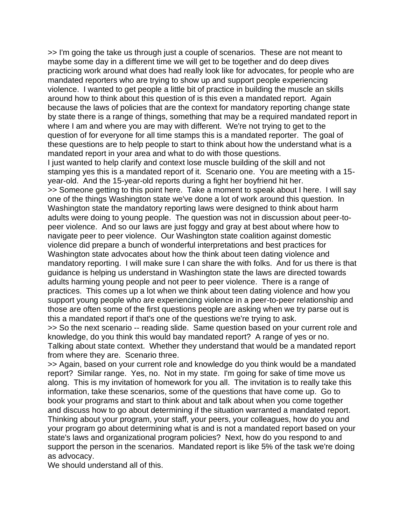>> I'm going the take us through just a couple of scenarios. These are not meant to maybe some day in a different time we will get to be together and do deep dives practicing work around what does had really look like for advocates, for people who are mandated reporters who are trying to show up and support people experiencing violence. I wanted to get people a little bit of practice in building the muscle an skills around how to think about this question of is this even a mandated report. Again because the laws of policies that are the context for mandatory reporting change state by state there is a range of things, something that may be a required mandated report in where I am and where you are may with different. We're not trying to get to the question of for everyone for all time stamps this is a mandated reporter. The goal of these questions are to help people to start to think about how the understand what is a mandated report in your area and what to do with those questions.

I just wanted to help clarify and context lose muscle building of the skill and not stamping yes this is a mandated report of it. Scenario one. You are meeting with a 15 year-old. And the 15-year-old reports during a fight her boyfriend hit her.

>> Someone getting to this point here. Take a moment to speak about I here. I will say one of the things Washington state we've done a lot of work around this question. In Washington state the mandatory reporting laws were designed to think about harm adults were doing to young people. The question was not in discussion about peer-topeer violence. And so our laws are just foggy and gray at best about where how to navigate peer to peer violence. Our Washington state coalition against domestic violence did prepare a bunch of wonderful interpretations and best practices for Washington state advocates about how the think about teen dating violence and mandatory reporting. I will make sure I can share the with folks. And for us there is that guidance is helping us understand in Washington state the laws are directed towards adults harming young people and not peer to peer violence. There is a range of practices. This comes up a lot when we think about teen dating violence and how you support young people who are experiencing violence in a peer-to-peer relationship and those are often some of the first questions people are asking when we try parse out is this a mandated report if that's one of the questions we're trying to ask.

>> So the next scenario -- reading slide. Same question based on your current role and knowledge, do you think this would bay mandated report? A range of yes or no. Talking about state context. Whether they understand that would be a mandated report from where they are. Scenario three.

>> Again, based on your current role and knowledge do you think would be a mandated report? Similar range. Yes, no. Not in my state. I'm going for sake of time move us along. This is my invitation of homework for you all. The invitation is to really take this information, take these scenarios, some of the questions that have come up. Go to book your programs and start to think about and talk about when you come together and discuss how to go about determining if the situation warranted a mandated report. Thinking about your program, your staff, your peers, your colleagues, how do you and your program go about determining what is and is not a mandated report based on your state's laws and organizational program policies? Next, how do you respond to and support the person in the scenarios. Mandated report is like 5% of the task we're doing as advocacy.

We should understand all of this.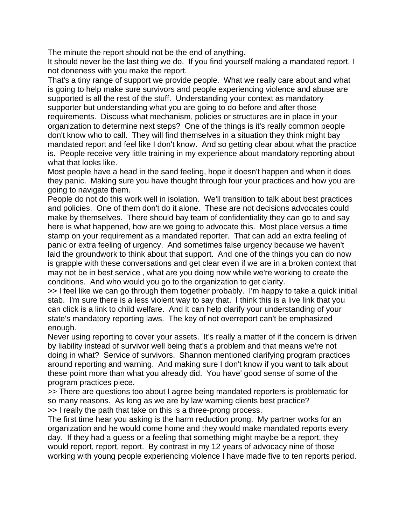The minute the report should not be the end of anything.

It should never be the last thing we do. If you find yourself making a mandated report, I not doneness with you make the report.

That's a tiny range of support we provide people. What we really care about and what is going to help make sure survivors and people experiencing violence and abuse are supported is all the rest of the stuff. Understanding your context as mandatory supporter but understanding what you are going to do before and after those requirements. Discuss what mechanism, policies or structures are in place in your organization to determine next steps? One of the things is it's really common people don't know who to call. They will find themselves in a situation they think might bay mandated report and feel like I don't know. And so getting clear about what the practice is. People receive very little training in my experience about mandatory reporting about what that looks like.

Most people have a head in the sand feeling, hope it doesn't happen and when it does they panic. Making sure you have thought through four your practices and how you are going to navigate them.

People do not do this work well in isolation. We'll transition to talk about best practices and policies. One of them don't do it alone. These are not decisions advocates could make by themselves. There should bay team of confidentiality they can go to and say here is what happened, how are we going to advocate this. Most place versus a time stamp on your requirement as a mandated reporter. That can add an extra feeling of panic or extra feeling of urgency. And sometimes false urgency because we haven't laid the groundwork to think about that support. And one of the things you can do now is grapple with these conversations and get clear even if we are in a broken context that may not be in best service , what are you doing now while we're working to create the conditions. And who would you go to the organization to get clarity.

>> I feel like we can go through them together probably. I'm happy to take a quick initial stab. I'm sure there is a less violent way to say that. I think this is a live link that you can click is a link to child welfare. And it can help clarify your understanding of your state's mandatory reporting laws. The key of not overreport can't be emphasized enough.

Never using reporting to cover your assets. It's really a matter of if the concern is driven by liability instead of survivor well being that's a problem and that means we're not doing in what? Service of survivors. Shannon mentioned clarifying program practices around reporting and warning. And making sure I don't know if you want to talk about these point more than what you already did. You have' good sense of some of the program practices piece.

>> There are questions too about I agree being mandated reporters is problematic for so many reasons. As long as we are by law warning clients best practice? >> I really the path that take on this is a three-prong process.

The first time hear you asking is the harm reduction prong. My partner works for an organization and he would come home and they would make mandated reports every day. If they had a guess or a feeling that something might maybe be a report, they would report, report, report. By contrast in my 12 years of advocacy nine of those working with young people experiencing violence I have made five to ten reports period.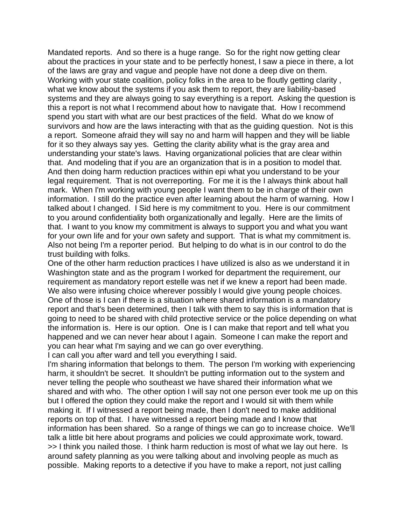Mandated reports. And so there is a huge range. So for the right now getting clear about the practices in your state and to be perfectly honest, I saw a piece in there, a lot of the laws are gray and vague and people have not done a deep dive on them. Working with your state coalition, policy folks in the area to be floutly getting clarity , what we know about the systems if you ask them to report, they are liability-based systems and they are always going to say everything is a report. Asking the question is this a report is not what I recommend about how to navigate that. How I recommend spend you start with what are our best practices of the field. What do we know of survivors and how are the laws interacting with that as the guiding question. Not is this a report. Someone afraid they will say no and harm will happen and they will be liable for it so they always say yes. Getting the clarity ability what is the gray area and understanding your state's laws. Having organizational policies that are clear within that. And modeling that if you are an organization that is in a position to model that. And then doing harm reduction practices within epi what you understand to be your legal requirement. That is not overreporting. For me it is the I always think about hall mark. When I'm working with young people I want them to be in charge of their own information. I still do the practice even after learning about the harm of warning. How I talked about I changed. I Sid here is my commitment to you. Here is our commitment to you around confidentiality both organizationally and legally. Here are the limits of that. I want to you know my commitment is always to support you and what you want for your own life and for your own safety and support. That is what my commitment is. Also not being I'm a reporter period. But helping to do what is in our control to do the trust building with folks.

One of the other harm reduction practices I have utilized is also as we understand it in Washington state and as the program I worked for department the requirement, our requirement as mandatory report estelle was net if we knew a report had been made. We also were infusing choice wherever possibly I would give young people choices. One of those is I can if there is a situation where shared information is a mandatory report and that's been determined, then I talk with them to say this is information that is going to need to be shared with child protective service or the police depending on what the information is. Here is our option. One is I can make that report and tell what you happened and we can never hear about I again. Someone I can make the report and you can hear what I'm saying and we can go over everything.

I can call you after ward and tell you everything I said.

I'm sharing information that belongs to them. The person I'm working with experiencing harm, it shouldn't be secret. It shouldn't be putting information out to the system and never telling the people who southeast we have shared their information what we shared and with who. The other option I will say not one person ever took me up on this but I offered the option they could make the report and I would sit with them while making it. If I witnessed a report being made, then I don't need to make additional reports on top of that. I have witnessed a report being made and I know that information has been shared. So a range of things we can go to increase choice. We'll talk a little bit here about programs and policies we could approximate work, toward. >> I think you nailed those. I think harm reduction is most of what we lay out here. Is around safety planning as you were talking about and involving people as much as possible. Making reports to a detective if you have to make a report, not just calling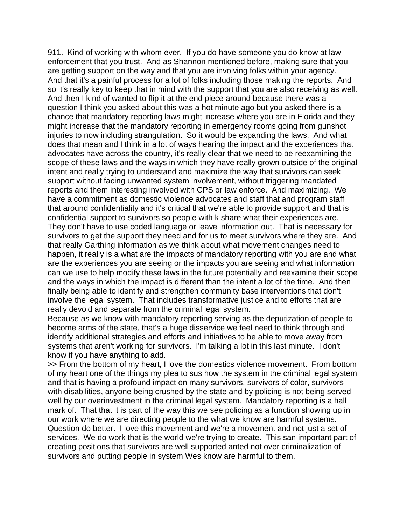911. Kind of working with whom ever. If you do have someone you do know at law enforcement that you trust. And as Shannon mentioned before, making sure that you are getting support on the way and that you are involving folks within your agency. And that it's a painful process for a lot of folks including those making the reports. And so it's really key to keep that in mind with the support that you are also receiving as well. And then I kind of wanted to flip it at the end piece around because there was a question I think you asked about this was a hot minute ago but you asked there is a chance that mandatory reporting laws might increase where you are in Florida and they might increase that the mandatory reporting in emergency rooms going from gunshot injuries to now including strangulation. So it would be expanding the laws. And what does that mean and I think in a lot of ways hearing the impact and the experiences that advocates have across the country, it's really clear that we need to be reexamining the scope of these laws and the ways in which they have really grown outside of the original intent and really trying to understand and maximize the way that survivors can seek support without facing unwanted system involvement, without triggering mandated reports and them interesting involved with CPS or law enforce. And maximizing. We have a commitment as domestic violence advocates and staff that and program staff that around confidentiality and it's critical that we're able to provide support and that is confidential support to survivors so people with k share what their experiences are. They don't have to use coded language or leave information out. That is necessary for survivors to get the support they need and for us to meet survivors where they are. And that really Garthing information as we think about what movement changes need to happen, it really is a what are the impacts of mandatory reporting with you are and what are the experiences you are seeing or the impacts you are seeing and what information can we use to help modify these laws in the future potentially and reexamine their scope and the ways in which the impact is different than the intent a lot of the time. And then finally being able to identify and strengthen community base interventions that don't involve the legal system. That includes transformative justice and to efforts that are really devoid and separate from the criminal legal system.

Because as we know with mandatory reporting serving as the deputization of people to become arms of the state, that's a huge disservice we feel need to think through and identify additional strategies and efforts and initiatives to be able to move away from systems that aren't working for survivors. I'm talking a lot in this last minute. I don't know if you have anything to add.

>> From the bottom of my heart, I love the domestics violence movement. From bottom of my heart one of the things my plea to sus how the system in the criminal legal system and that is having a profound impact on many survivors, survivors of color, survivors with disabilities, anyone being crushed by the state and by policing is not being served well by our overinvestment in the criminal legal system. Mandatory reporting is a hall mark of. That that it is part of the way this we see policing as a function showing up in our work where we are directing people to the what we know are harmful systems. Question do better. I love this movement and we're a movement and not just a set of services. We do work that is the world we're trying to create. This san important part of creating positions that survivors are well supported anted not over criminalization of survivors and putting people in system Wes know are harmful to them.